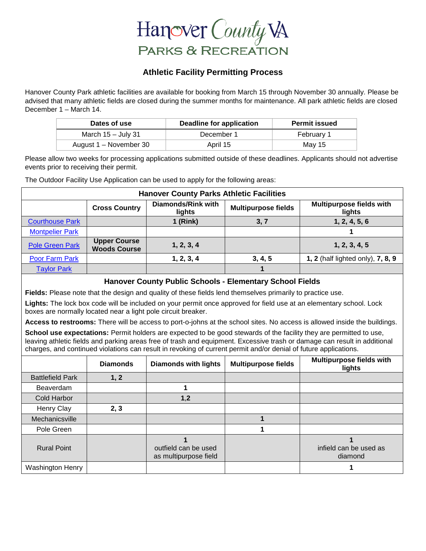

#### **Athletic Facility Permitting Process**

Hanover County Park athletic facilities are available for booking from March 15 through November 30 annually. Please be advised that many athletic fields are closed during the summer months for maintenance. All park athletic fields are closed December 1 – March 14.

| Dates of use           | Deadline for application | <b>Permit issued</b> |  |
|------------------------|--------------------------|----------------------|--|
| March $15 -$ July 31   | December 1               | February 1           |  |
| August 1 – November 30 | April 15                 | May 15               |  |

Please allow two weeks for processing applications submitted outside of these deadlines. Applicants should not advertise events prior to receiving their permit.

The Outdoor Facility Use Application can be used to apply for the following areas:

| <b>Hanover County Parks Athletic Facilities</b>                                                                                                                                                                                                                                                                                                                      |                                            |                                                    |                            |                                           |  |  |
|----------------------------------------------------------------------------------------------------------------------------------------------------------------------------------------------------------------------------------------------------------------------------------------------------------------------------------------------------------------------|--------------------------------------------|----------------------------------------------------|----------------------------|-------------------------------------------|--|--|
|                                                                                                                                                                                                                                                                                                                                                                      | <b>Cross Country</b>                       | <b>Diamonds/Rink with</b><br>lights                | <b>Multipurpose fields</b> | Multipurpose fields with<br>lights        |  |  |
| <b>Courthouse Park</b>                                                                                                                                                                                                                                                                                                                                               |                                            | $1$ (Rink)                                         | 3, 7                       | 1, 2, 4, 5, 6                             |  |  |
| <b>Montpelier Park</b>                                                                                                                                                                                                                                                                                                                                               |                                            |                                                    |                            |                                           |  |  |
| <b>Pole Green Park</b>                                                                                                                                                                                                                                                                                                                                               | <b>Upper Course</b><br><b>Woods Course</b> | 1, 2, 3, 4                                         |                            | 1, 2, 3, 4, 5                             |  |  |
| <b>Poor Farm Park</b>                                                                                                                                                                                                                                                                                                                                                |                                            | 1, 2, 3, 4                                         | 3, 4, 5                    | 1, 2 (half lighted only), 7, 8, 9         |  |  |
| <b>Taylor Park</b>                                                                                                                                                                                                                                                                                                                                                   |                                            |                                                    | 1                          |                                           |  |  |
| Hanover County Public Schools - Elementary School Fields                                                                                                                                                                                                                                                                                                             |                                            |                                                    |                            |                                           |  |  |
| Fields: Please note that the design and quality of these fields lend themselves primarily to practice use.                                                                                                                                                                                                                                                           |                                            |                                                    |                            |                                           |  |  |
| Lights: The lock box code will be included on your permit once approved for field use at an elementary school. Lock<br>boxes are normally located near a light pole circuit breaker.                                                                                                                                                                                 |                                            |                                                    |                            |                                           |  |  |
| Access to restrooms: There will be access to port-o-johns at the school sites. No access is allowed inside the buildings.                                                                                                                                                                                                                                            |                                            |                                                    |                            |                                           |  |  |
| School use expectations: Permit holders are expected to be good stewards of the facility they are permitted to use,<br>leaving athletic fields and parking areas free of trash and equipment. Excessive trash or damage can result in additional<br>charges, and continued violations can result in revoking of current permit and/or denial of future applications. |                                            |                                                    |                            |                                           |  |  |
|                                                                                                                                                                                                                                                                                                                                                                      | <b>Diamonds</b>                            | <b>Diamonds with lights</b>                        | <b>Multipurpose fields</b> | <b>Multipurpose fields with</b><br>lights |  |  |
| <b>Battlefield Park</b>                                                                                                                                                                                                                                                                                                                                              | 1, 2                                       |                                                    |                            |                                           |  |  |
| Beaverdam                                                                                                                                                                                                                                                                                                                                                            |                                            | 1                                                  |                            |                                           |  |  |
| <b>Cold Harbor</b>                                                                                                                                                                                                                                                                                                                                                   |                                            | 1,2                                                |                            |                                           |  |  |
| Henry Clay                                                                                                                                                                                                                                                                                                                                                           | 2, 3                                       |                                                    |                            |                                           |  |  |
| Mechanicsville                                                                                                                                                                                                                                                                                                                                                       |                                            |                                                    | 1                          |                                           |  |  |
| Pole Green                                                                                                                                                                                                                                                                                                                                                           |                                            |                                                    | 1                          |                                           |  |  |
| <b>Rural Point</b>                                                                                                                                                                                                                                                                                                                                                   |                                            | 1<br>outfield can be used<br>as multipurpose field |                            | 1<br>infield can be used as<br>diamond    |  |  |
| <b>Washington Henry</b>                                                                                                                                                                                                                                                                                                                                              |                                            |                                                    |                            | 1                                         |  |  |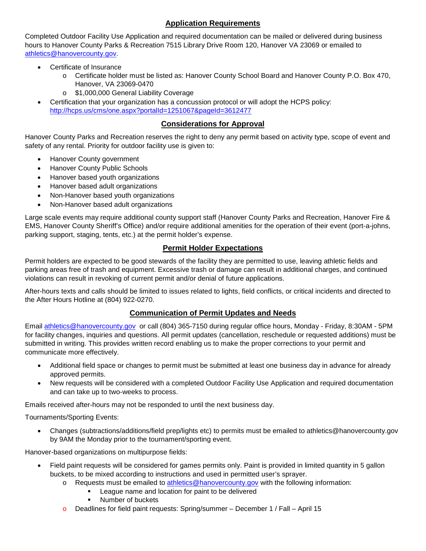#### **Application Requirements**

Completed Outdoor Facility Use Application and required documentation can be mailed or delivered during business hours to Hanover County Parks & Recreation 7515 Library Drive Room 120, Hanover VA 23069 or emailed to [athletics@hanovercounty.gov.](mailto:athletics@hanovercounty.gov)

- Certificate of Insurance
	- o Certificate holder must be listed as: Hanover County School Board and Hanover County P.O. Box 470, Hanover, VA 23069-0470
	- o \$1,000,000 General Liability Coverage
- Certification that your organization has a concussion protocol or will adopt the HCPS policy: <http://hcps.us/cms/one.aspx?portalId=1251067&pageId=3612477>

#### **Considerations for Approval**

Hanover County Parks and Recreation reserves the right to deny any permit based on activity type, scope of event and safety of any rental. Priority for outdoor facility use is given to:

- Hanover County government
- Hanover County Public Schools
- Hanover based youth organizations
- Hanover based adult organizations
- Non-Hanover based youth organizations
- Non-Hanover based adult organizations

Large scale events may require additional county support staff (Hanover County Parks and Recreation, Hanover Fire & EMS, Hanover County Sheriff's Office) and/or require additional amenities for the operation of their event (port-a-johns, parking support, staging, tents, etc.) at the permit holder's expense.

#### **Permit Holder Expectations**

Permit holders are expected to be good stewards of the facility they are permitted to use, leaving athletic fields and parking areas free of trash and equipment. Excessive trash or damage can result in additional charges, and continued violations can result in revoking of current permit and/or denial of future applications.

After-hours texts and calls should be limited to issues related to lights, field conflicts, or critical incidents and directed to the After Hours Hotline at (804) 922-0270.

#### **Communication of Permit Updates and Needs**

Email [athletics@hanovercounty.gov](mailto:athletics@hanovercounty.gov) or call (804) 365-7150 during regular office hours, Monday - Friday, 8:30AM - 5PM for facility changes, inquiries and questions. All permit updates (cancellation, reschedule or requested additions) must be submitted in writing. This provides written record enabling us to make the proper corrections to your permit and communicate more effectively.

- Additional field space or changes to permit must be submitted at least one business day in advance for already approved permits.
- New requests will be considered with a completed Outdoor Facility Use Application and required documentation and can take up to two-weeks to process.

Emails received after-hours may not be responded to until the next business day.

Tournaments/Sporting Events:

• Changes (subtractions/additions/field prep/lights etc) to permits must be emailed to athletics@hanovercounty.gov by 9AM the Monday prior to the tournament/sporting event.

Hanover-based organizations on multipurpose fields:

- Field paint requests will be considered for games permits only. Paint is provided in limited quantity in 5 gallon buckets, to be mixed according to instructions and used in permitted user's sprayer.
	- $\circ$  Requests must be emailed to [athletics@hanovercounty.gov](mailto:athletics@hanovercounty.gov) with the following information:
		- League name and location for paint to be delivered
		- Number of buckets
	- o Deadlines for field paint requests: Spring/summer December 1 / Fall April 15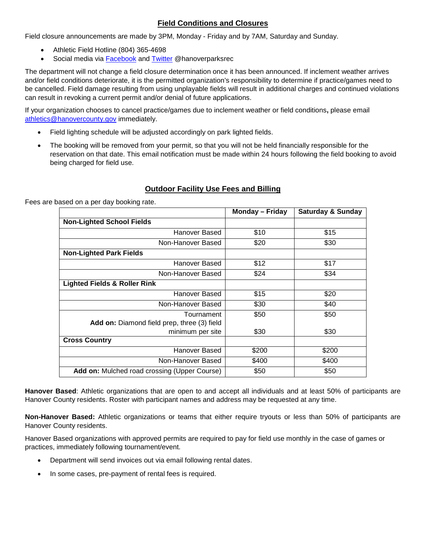#### **Field Conditions and Closures**

Field closure announcements are made by 3PM, Monday - Friday and by 7AM, Saturday and Sunday.

- Athletic Field Hotline (804) 365-4698
- Social media via [Facebook](https://www.facebook.com/HanoverParksRec/) and [Twitter](https://twitter.com/HanoverParksRec/) @hanoverparksrec

The department will not change a field closure determination once it has been announced. If inclement weather arrives and/or field conditions deteriorate, it is the permitted organization's responsibility to determine if practice/games need to be cancelled. Field damage resulting from using unplayable fields will result in additional charges and continued violations can result in revoking a current permit and/or denial of future applications.

If your organization chooses to cancel practice/games due to inclement weather or field conditions**,** please email [athletics@hanovercounty.gov](mailto:athletics@hanovercounty.gov) immediately.

- Field lighting schedule will be adjusted accordingly on park lighted fields.
- The booking will be removed from your permit, so that you will not be held financially responsible for the reservation on that date. This email notification must be made within 24 hours following the field booking to avoid being charged for field use.

#### **Outdoor Facility Use Fees and Billing**

Fees are based on a per day booking rate.

|                                                           | <b>Monday – Friday</b> | <b>Saturday &amp; Sunday</b> |
|-----------------------------------------------------------|------------------------|------------------------------|
| <b>Non-Lighted School Fields</b>                          |                        |                              |
| Hanover Based                                             | \$10                   | \$15                         |
| Non-Hanover Based                                         | \$20                   | \$30                         |
| <b>Non-Lighted Park Fields</b>                            |                        |                              |
| Hanover Based                                             | \$12                   | \$17                         |
| Non-Hanover Based                                         | \$24                   | \$34                         |
| <b>Lighted Fields &amp; Roller Rink</b>                   |                        |                              |
| Hanover Based                                             | \$15                   | \$20                         |
| Non-Hanover Based                                         | \$30                   | \$40                         |
| Tournament<br>Add on: Diamond field prep, three (3) field | \$50                   | \$50                         |
| minimum per site                                          | \$30                   | \$30                         |
| <b>Cross Country</b>                                      |                        |                              |
| Hanover Based                                             | \$200                  | \$200                        |
| Non-Hanover Based                                         | \$400                  | \$400                        |
| <b>Add on:</b> Mulched road crossing (Upper Course)       | \$50                   | \$50                         |

**Hanover Based**: Athletic organizations that are open to and accept all individuals and at least 50% of participants are Hanover County residents. Roster with participant names and address may be requested at any time.

**Non-Hanover Based:** Athletic organizations or teams that either require tryouts or less than 50% of participants are Hanover County residents.

Hanover Based organizations with approved permits are required to pay for field use monthly in the case of games or practices, immediately following tournament/event.

- Department will send invoices out via email following rental dates.
- In some cases, pre-payment of rental fees is required.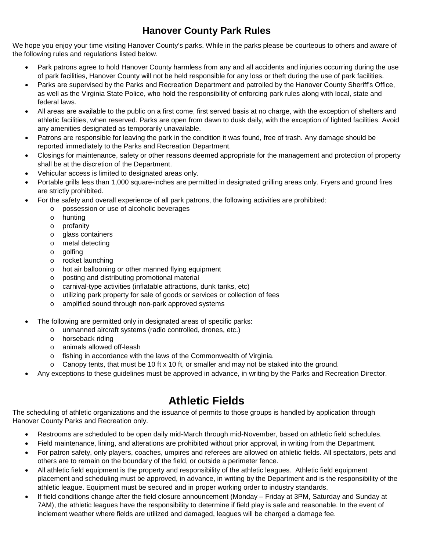### **Hanover County Park Rules**

We hope you enjoy your time visiting Hanover County's parks. While in the parks please be courteous to others and aware of the following rules and regulations listed below.

- Park patrons agree to hold Hanover County harmless from any and all accidents and injuries occurring during the use of park facilities, Hanover County will not be held responsible for any loss or theft during the use of park facilities.
- Parks are supervised by the Parks and Recreation Department and patrolled by the Hanover County Sheriff's Office, as well as the Virginia State Police, who hold the responsibility of enforcing park rules along with local, state and federal laws.
- All areas are available to the public on a first come, first served basis at no charge, with the exception of shelters and athletic facilities, when reserved. Parks are open from dawn to dusk daily, with the exception of lighted facilities. Avoid any amenities designated as temporarily unavailable.
- Patrons are responsible for leaving the park in the condition it was found, free of trash. Any damage should be reported immediately to the Parks and Recreation Department.
- Closings for maintenance, safety or other reasons deemed appropriate for the management and protection of property shall be at the discretion of the Department.
- Vehicular access is limited to designated areas only.
- Portable grills less than 1,000 square-inches are permitted in designated grilling areas only. Fryers and ground fires are strictly prohibited.
- For the safety and overall experience of all park patrons, the following activities are prohibited:
	- o possession or use of alcoholic beverages
	- o hunting
	- o profanity
	- o glass containers
	- o metal detecting
	- o golfing
	- o rocket launching
	- o hot air ballooning or other manned flying equipment
	- o posting and distributing promotional material
	- o carnival-type activities (inflatable attractions, dunk tanks, etc)
	- o utilizing park property for sale of goods or services or collection of fees
	- o amplified sound through non-park approved systems
- The following are permitted only in designated areas of specific parks:
	- o unmanned aircraft systems (radio controlled, drones, etc.)
	- o horseback riding
	- o animals allowed off-leash
	- o fishing in accordance with the laws of the Commonwealth of Virginia.
	- $\circ$  Canopy tents, that must be 10 ft x 10 ft, or smaller and may not be staked into the ground.
- Any exceptions to these guidelines must be approved in advance, in writing by the Parks and Recreation Director.

## **Athletic Fields**

The scheduling of athletic organizations and the issuance of permits to those groups is handled by application through Hanover County Parks and Recreation only.

- Restrooms are scheduled to be open daily mid-March through mid-November, based on athletic field schedules.
- Field maintenance, lining, and alterations are prohibited without prior approval, in writing from the Department.
- For patron safety, only players, coaches, umpires and referees are allowed on athletic fields. All spectators, pets and others are to remain on the boundary of the field, or outside a perimeter fence.
- All athletic field equipment is the property and responsibility of the athletic leagues. Athletic field equipment placement and scheduling must be approved, in advance, in writing by the Department and is the responsibility of the athletic league. Equipment must be secured and in proper working order to industry standards.
- If field conditions change after the field closure announcement (Monday Friday at 3PM, Saturday and Sunday at 7AM), the athletic leagues have the responsibility to determine if field play is safe and reasonable. In the event of inclement weather where fields are utilized and damaged, leagues will be charged a damage fee.